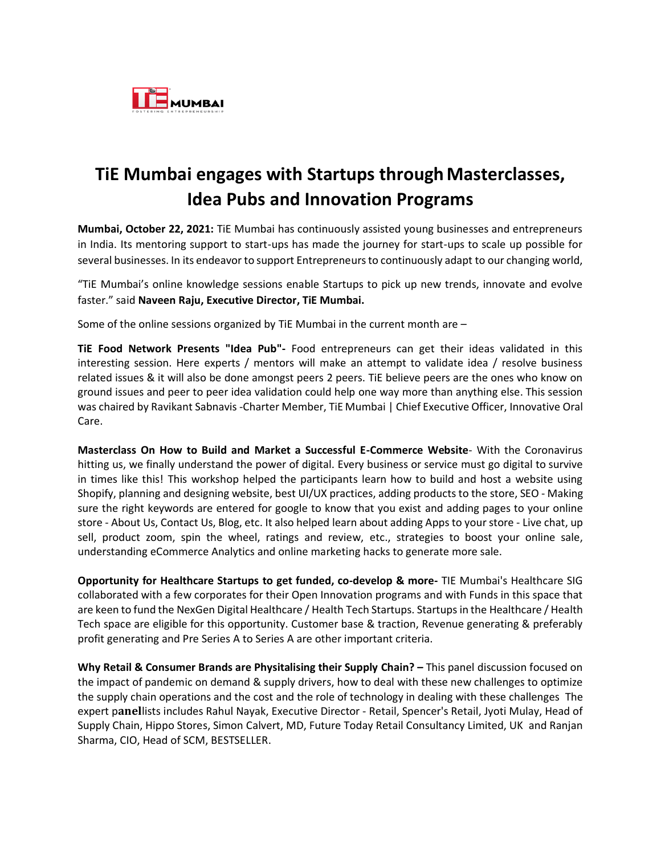

## **TiE Mumbai engages with Startups through Masterclasses, Idea Pubs and Innovation Programs**

**Mumbai, October 22, 2021:** TiE Mumbai has continuously assisted young businesses and entrepreneurs in India. Its mentoring support to start-ups has made the journey for start-ups to scale up possible for several businesses. In its endeavor to support Entrepreneurs to continuously adapt to our changing world,

"TiE Mumbai's online knowledge sessions enable Startups to pick up new trends, innovate and evolve faster." said **Naveen Raju, Executive Director, TiE Mumbai.**

Some of the online sessions organized by TiE Mumbai in the current month are –

**TiE Food Network Presents "Idea Pub"-** Food entrepreneurs can get their ideas validated in this interesting session. Here experts / mentors will make an attempt to validate idea / resolve business related issues & it will also be done amongst peers 2 peers. TiE believe peers are the ones who know on ground issues and peer to peer idea validation could help one way more than anything else. This session was chaired by Ravikant Sabnavis -Charter Member, TiE Mumbai | Chief Executive Officer, Innovative Oral Care.

**Masterclass On How to Build and Market a Successful E-Commerce Website**- With the Coronavirus hitting us, we finally understand the power of digital. Every business or service must go digital to survive in times like this! This workshop helped the participants learn how to build and host a website using Shopify, planning and designing website, best UI/UX practices, adding products to the store, SEO - Making sure the right keywords are entered for google to know that you exist and adding pages to your online store - About Us, Contact Us, Blog, etc. It also helped learn about adding Apps to your store - Live chat, up sell, product zoom, spin the wheel, ratings and review, etc., strategies to boost your online sale, understanding eCommerce Analytics and online marketing hacks to generate more sale.

**Opportunity for Healthcare Startups to get funded, co-develop & more-** TIE Mumbai's Healthcare SIG collaborated with a few corporates for their Open Innovation programs and with Funds in this space that are keen to fund the NexGen Digital Healthcare / Health Tech Startups. Startups in the Healthcare / Health Tech space are eligible for this opportunity. Customer base & traction, Revenue generating & preferably profit generating and Pre Series A to Series A are other important criteria.

**Why Retail & Consumer Brands are Physitalising their Supply Chain? –** This panel discussion focused on the impact of pandemic on demand & supply drivers, how to deal with these new challenges to optimize the supply chain operations and the cost and the role of technology in dealing with these challenges The expert panellists includes Rahul Nayak, Executive Director - Retail, Spencer's Retail, Jyoti Mulay, Head of Supply Chain, Hippo Stores, Simon Calvert, MD, Future Today Retail Consultancy Limited, UK and Ranjan Sharma, CIO, Head of SCM, BESTSELLER.